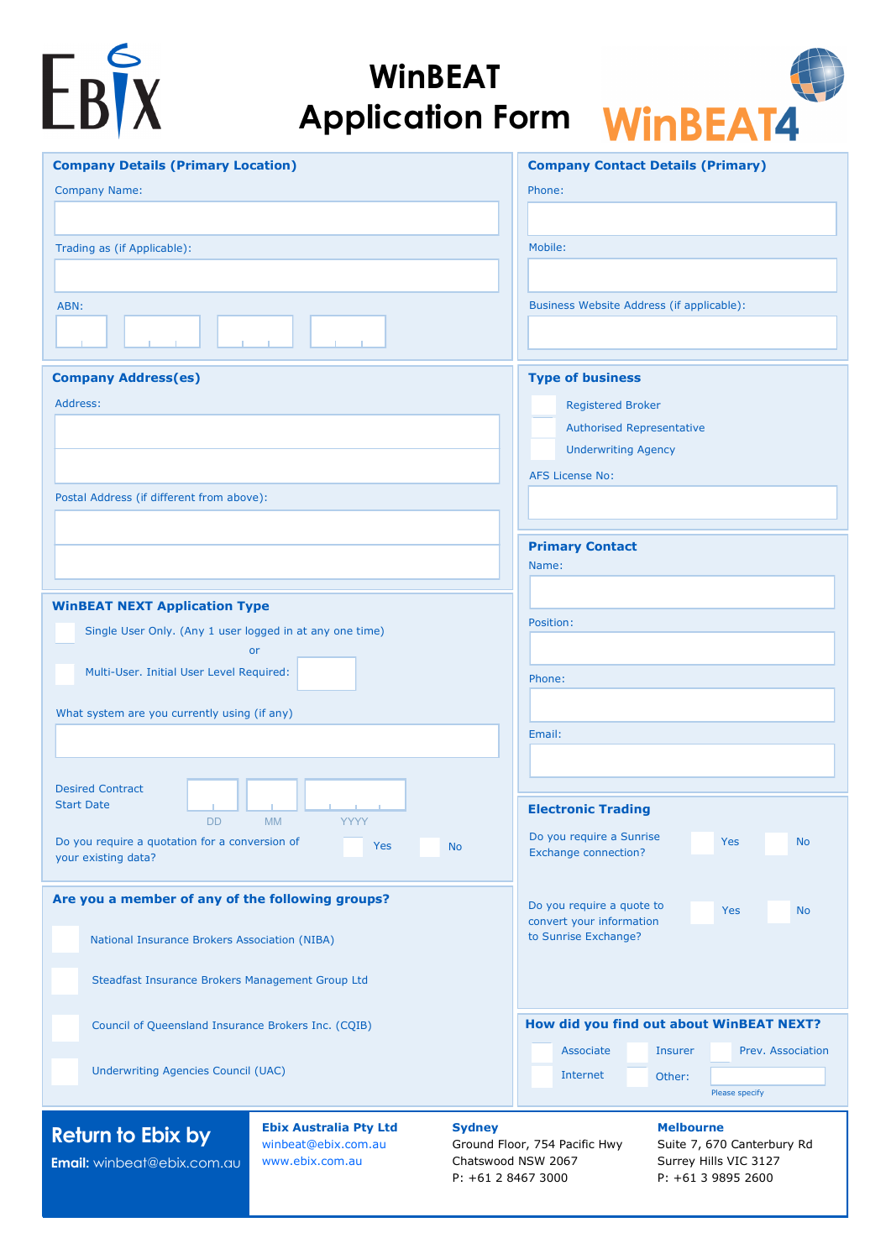| DI<br>DV) | $\mathbb{R}^N$ |
|-----------|----------------|

# **WinBEAT Application Form**



| <b>Company Details (Primary Location)</b>                                                        | <b>Company Contact Details (Primary)</b>                                  |
|--------------------------------------------------------------------------------------------------|---------------------------------------------------------------------------|
| <b>Company Name:</b>                                                                             | Phone:                                                                    |
|                                                                                                  |                                                                           |
| Trading as (if Applicable):                                                                      | Mobile:                                                                   |
|                                                                                                  |                                                                           |
| ABN:                                                                                             | Business Website Address (if applicable):                                 |
|                                                                                                  |                                                                           |
| <b>Company Address(es)</b>                                                                       | <b>Type of business</b>                                                   |
| Address:                                                                                         | <b>Registered Broker</b>                                                  |
|                                                                                                  | <b>Authorised Representative</b><br><b>Underwriting Agency</b>            |
|                                                                                                  | <b>AFS License No:</b>                                                    |
| Postal Address (if different from above):                                                        |                                                                           |
|                                                                                                  |                                                                           |
|                                                                                                  | <b>Primary Contact</b>                                                    |
|                                                                                                  | Name:                                                                     |
| <b>WinBEAT NEXT Application Type</b>                                                             |                                                                           |
| Single User Only. (Any 1 user logged in at any one time)                                         | Position:                                                                 |
| <b>or</b>                                                                                        |                                                                           |
| Multi-User. Initial User Level Required:                                                         | Phone:                                                                    |
| What system are you currently using (if any)                                                     |                                                                           |
|                                                                                                  | Email:                                                                    |
|                                                                                                  |                                                                           |
| <b>Desired Contract</b><br><b>Start Date</b>                                                     | <b>Electronic Trading</b>                                                 |
| <b>MM</b><br>YYYY<br>DD.                                                                         | Do you require a Sunrise                                                  |
| Do you require a quotation for a conversion of<br><b>Yes</b><br><b>No</b><br>your existing data? | <b>Yes</b><br><b>No</b><br><b>Exchange connection?</b>                    |
|                                                                                                  |                                                                           |
| Are you a member of any of the following groups?                                                 | Do you require a quote to<br><b>No</b><br>Yes<br>convert your information |
| National Insurance Brokers Association (NIBA)                                                    | to Sunrise Exchange?                                                      |
| Steadfast Insurance Brokers Management Group Ltd                                                 |                                                                           |
|                                                                                                  |                                                                           |
| Council of Queensland Insurance Brokers Inc. (CQIB)                                              | How did you find out about WinBEAT NEXT?                                  |
|                                                                                                  | Prev. Association<br>Associate<br><b>Insurer</b>                          |
| Underwriting Agencies Council (UAC)                                                              | Internet<br>Other:                                                        |
|                                                                                                  | Please specify                                                            |
| <b>Ebix Australia Pty Ltd</b><br><b>Sydney</b><br><b>Doturn to Ehiv hy</b>                       | <b>Melbourne</b>                                                          |

## **Return to Ebix by**

**Email:** winbeat@ebix.com.au

[winbeat@ebix.com.au](mailto:sales@ebix.com.au?subject=WinBEAT%20Application%20Form) [www.ebix.com.au](http://www.ebix.com.au/)

# **Sydney**

Ground Floor, 754 Pacific Hwy Chatswood NSW 2067 P: +61 2 8467 3000

#### **Melbourne**

Suite 7, 670 Canterbury Rd Surrey Hills VIC 3127 P: +61 3 9895 2600